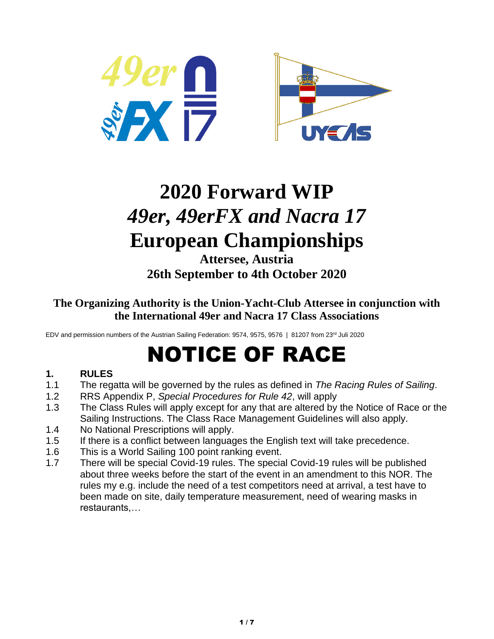



## **2020 Forward WIP** *49er, 49erFX and Nacra 17* **European Championships**

**Attersee, Austria 26th September to 4th October 2020**

**The Organizing Authority is the Union-Yacht-Club Attersee in conjunction with the International 49er and Nacra 17 Class Associations**

EDV and permission numbers of the Austrian Sailing Federation: 9574, 9575, 9576 | 81207 from 23<sup>rd</sup> Juli 2020

# NOTICE OF RACE

## **1. RULES**

- 1.1 The regatta will be governed by the rules as defined in *The Racing Rules of Sailing*.
- 1.2 RRS Appendix P, *Special Procedures for Rule 42*, will apply
- 1.3 The Class Rules will apply except for any that are altered by the Notice of Race or the Sailing Instructions. The Class Race Management Guidelines will also apply.
- 1.4 No National Prescriptions will apply.
- 1.5 If there is a conflict between languages the English text will take precedence.
- 1.6 This is a World Sailing 100 point ranking event.
- 1.7 There will be special Covid-19 rules. The special Covid-19 rules will be published about three weeks before the start of the event in an amendment to this NOR. The rules my e.g. include the need of a test competitors need at arrival, a test have to been made on site, daily temperature measurement, need of wearing masks in restaurants,…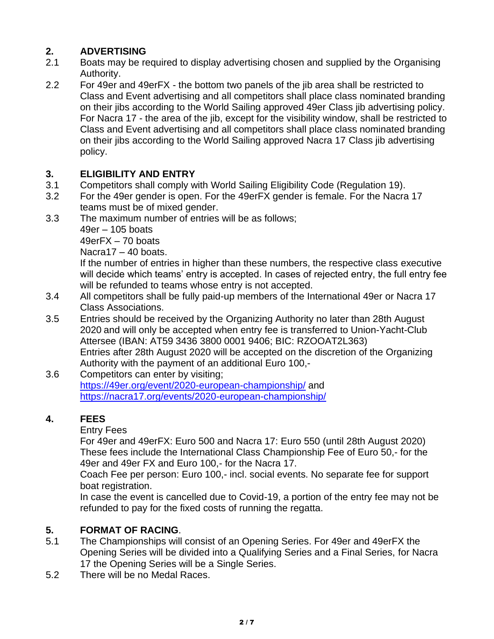## **2. ADVERTISING**

- 2.1 Boats may be required to display advertising chosen and supplied by the Organising Authority.
- 2.2 For 49er and 49erFX the bottom two panels of the jib area shall be restricted to Class and Event advertising and all competitors shall place class nominated branding on their jibs according to the World Sailing approved 49er Class jib advertising policy. For Nacra 17 - the area of the jib, except for the visibility window, shall be restricted to Class and Event advertising and all competitors shall place class nominated branding on their jibs according to the World Sailing approved Nacra 17 Class jib advertising policy.

## **3. ELIGIBILITY AND ENTRY**

- 3.1 Competitors shall comply with World Sailing Eligibility Code (Regulation 19).
- 3.2 For the 49er gender is open. For the 49erFX gender is female. For the Nacra 17 teams must be of mixed gender.
- 3.3 The maximum number of entries will be as follows;

49er – 105 boats

49erFX – 70 boats

Nacra17 – 40 boats.

If the number of entries in higher than these numbers, the respective class executive will decide which teams' entry is accepted. In cases of rejected entry, the full entry fee will be refunded to teams whose entry is not accepted.

- 3.4 All competitors shall be fully paid-up members of the International 49er or Nacra 17 Class Associations.
- 3.5 Entries should be received by the Organizing Authority no later than 28th August 2020 and will only be accepted when entry fee is transferred to Union-Yacht-Club Attersee (IBAN: AT59 3436 3800 0001 9406; BIC: RZOOAT2L363) Entries after 28th August 2020 will be accepted on the discretion of the Organizing Authority with the payment of an additional Euro 100,-
- 3.6 Competitors can enter by visiting; <https://49er.org/event/2020-european-championship/> and <https://nacra17.org/events/2020-european-championship/>

## **4. FEES**

Entry Fees

For 49er and 49erFX: Euro 500 and Nacra 17: Euro 550 (until 28th August 2020) These fees include the International Class Championship Fee of Euro 50,- for the 49er and 49er FX and Euro 100,- for the Nacra 17.

Coach Fee per person: Euro 100,- incl. social events. No separate fee for support boat registration.

In case the event is cancelled due to Covid-19, a portion of the entry fee may not be refunded to pay for the fixed costs of running the regatta.

## **5. FORMAT OF RACING**.

- 5.1 The Championships will consist of an Opening Series. For 49er and 49erFX the Opening Series will be divided into a Qualifying Series and a Final Series, for Nacra 17 the Opening Series will be a Single Series.
- 5.2 There will be no Medal Races.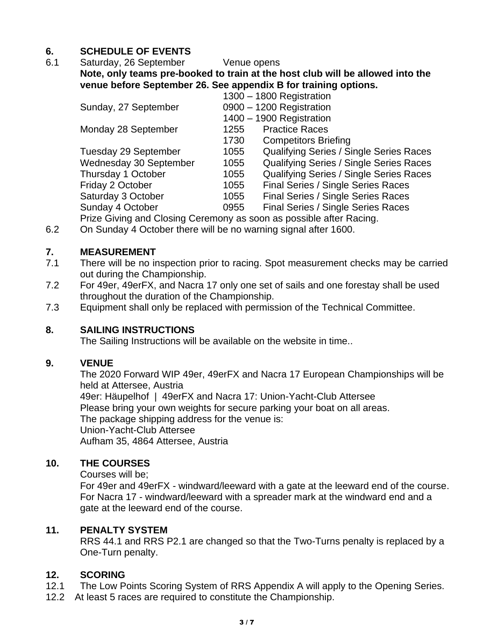## **6. SCHEDULE OF EVENTS**

#### 6.1 Saturday, 26 September Venue opens **Note, only teams pre-booked to train at the host club will be allowed into the venue before September 26. See appendix B for training options.**

|                             |                          | 1300 - 1800 Registration                       |
|-----------------------------|--------------------------|------------------------------------------------|
| Sunday, 27 September        |                          | 0900 - 1200 Registration                       |
|                             | 1400 - 1900 Registration |                                                |
| Monday 28 September         | 1255                     | <b>Practice Races</b>                          |
|                             | 1730                     | <b>Competitors Briefing</b>                    |
| <b>Tuesday 29 September</b> | 1055                     | <b>Qualifying Series / Single Series Races</b> |
| Wednesday 30 September      | 1055                     | Qualifying Series / Single Series Races        |
| Thursday 1 October          | 1055                     | Qualifying Series / Single Series Races        |
| Friday 2 October            | 1055                     | Final Series / Single Series Races             |
| Saturday 3 October          | 1055                     | Final Series / Single Series Races             |
| Sunday 4 October            | 0955                     | Final Series / Single Series Races             |
|                             |                          |                                                |

Prize Giving and Closing Ceremony as soon as possible after Racing.

6.2 On Sunday 4 October there will be no warning signal after 1600.

#### **7. MEASUREMENT**

- 7.1 There will be no inspection prior to racing. Spot measurement checks may be carried out during the Championship.
- 7.2 For 49er, 49erFX, and Nacra 17 only one set of sails and one forestay shall be used throughout the duration of the Championship.
- 7.3 Equipment shall only be replaced with permission of the Technical Committee.

#### **8. SAILING INSTRUCTIONS**

The Sailing Instructions will be available on the website in time..

#### **9. VENUE**

The 2020 Forward WIP 49er, 49erFX and Nacra 17 European Championships will be held at Attersee, Austria 49er: Häupelhof | 49erFX and Nacra 17: Union-Yacht-Club Attersee Please bring your own weights for secure parking your boat on all areas. The package shipping address for the venue is: Union-Yacht-Club Attersee Aufham 35, 4864 Attersee, Austria

#### **10. THE COURSES**

Courses will be;

For 49er and 49erFX - windward/leeward with a gate at the leeward end of the course. For Nacra 17 - windward/leeward with a spreader mark at the windward end and a gate at the leeward end of the course.

#### **11. PENALTY SYSTEM**

RRS 44.1 and RRS P2.1 are changed so that the Two-Turns penalty is replaced by a One-Turn penalty.

#### **12. SCORING**

- 12.1 The Low Points Scoring System of RRS Appendix A will apply to the Opening Series.
- 12.2 At least 5 races are required to constitute the Championship.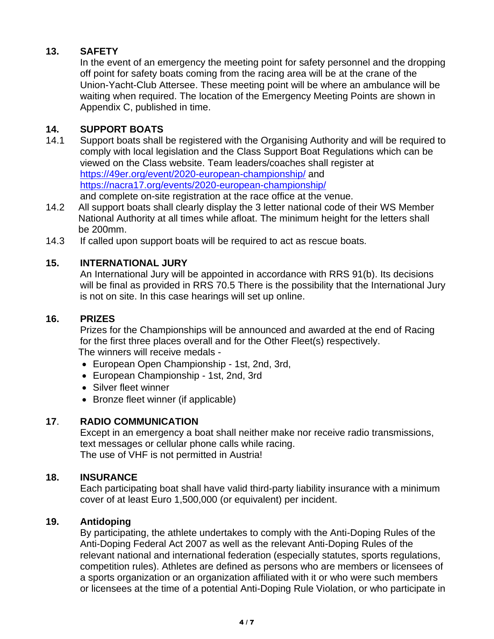## **13. SAFETY**

In the event of an emergency the meeting point for safety personnel and the dropping off point for safety boats coming from the racing area will be at the crane of the Union-Yacht-Club Attersee. These meeting point will be where an ambulance will be waiting when required. The location of the Emergency Meeting Points are shown in Appendix C, published in time.

## **14. SUPPORT BOATS**

- 14.1 Support boats shall be registered with the Organising Authority and will be required to comply with local legislation and the Class Support Boat Regulations which can be viewed on the Class website. Team leaders/coaches shall register at <https://49er.org/event/2020-european-championship/> and <https://nacra17.org/events/2020-european-championship/> and complete on-site registration at the race office at the venue.
- 14.2 All support boats shall clearly display the 3 letter national code of their WS Member National Authority at all times while afloat. The minimum height for the letters shall be 200mm.
- 14.3 If called upon support boats will be required to act as rescue boats.

## **15. INTERNATIONAL JURY**

An International Jury will be appointed in accordance with RRS 91(b). Its decisions will be final as provided in RRS 70.5 There is the possibility that the International Jury is not on site. In this case hearings will set up online.

#### **16. PRIZES**

Prizes for the Championships will be announced and awarded at the end of Racing for the first three places overall and for the Other Fleet(s) respectively. The winners will receive medals -

- European Open Championship 1st, 2nd, 3rd,
- European Championship 1st, 2nd, 3rd
- Silver fleet winner
- Bronze fleet winner (if applicable)

## **17**. **RADIO COMMUNICATION**

Except in an emergency a boat shall neither make nor receive radio transmissions, text messages or cellular phone calls while racing. The use of VHF is not permitted in Austria!

#### **18. INSURANCE**

Each participating boat shall have valid third-party liability insurance with a minimum cover of at least Euro 1,500,000 (or equivalent) per incident.

#### **19. Antidoping**

By participating, the athlete undertakes to comply with the Anti-Doping Rules of the Anti-Doping Federal Act 2007 as well as the relevant Anti-Doping Rules of the relevant national and international federation (especially statutes, sports regulations, competition rules). Athletes are defined as persons who are members or licensees of a sports organization or an organization affiliated with it or who were such members or licensees at the time of a potential Anti-Doping Rule Violation, or who participate in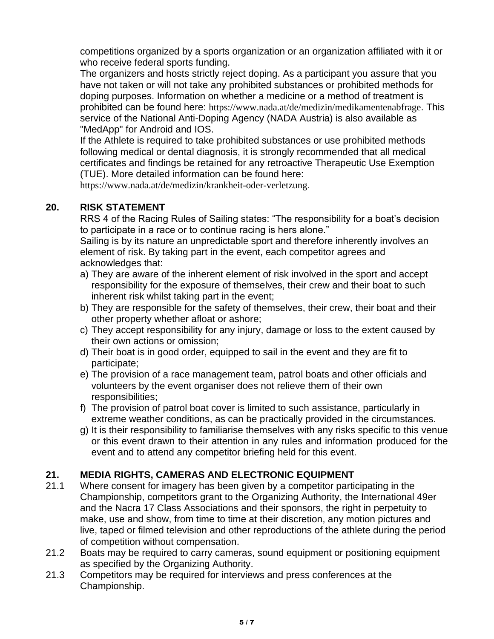competitions organized by a sports organization or an organization affiliated with it or who receive federal sports funding.

The organizers and hosts strictly reject doping. As a participant you assure that you have not taken or will not take any prohibited substances or prohibited methods for doping purposes. Information on whether a medicine or a method of treatment is prohibited can be found here: <https://www.nada.at/de/medizin/medikamentenabfrage>. This service of the National Anti-Doping Agency (NADA Austria) is also available as "MedApp" for Android and IOS.

If the Athlete is required to take prohibited substances or use prohibited methods following medical or dental diagnosis, it is strongly recommended that all medical certificates and findings be retained for any retroactive Therapeutic Use Exemption (TUE). More detailed information can be found here:

<https://www.nada.at/de/medizin/krankheit-oder-verletzung>.

## **20. RISK STATEMENT**

RRS 4 of the Racing Rules of Sailing states: "The responsibility for a boat's decision to participate in a race or to continue racing is hers alone."

Sailing is by its nature an unpredictable sport and therefore inherently involves an element of risk. By taking part in the event, each competitor agrees and acknowledges that:

- a) They are aware of the inherent element of risk involved in the sport and accept responsibility for the exposure of themselves, their crew and their boat to such inherent risk whilst taking part in the event;
- b) They are responsible for the safety of themselves, their crew, their boat and their other property whether afloat or ashore;
- c) They accept responsibility for any injury, damage or loss to the extent caused by their own actions or omission;
- d) Their boat is in good order, equipped to sail in the event and they are fit to participate;
- e) The provision of a race management team, patrol boats and other officials and volunteers by the event organiser does not relieve them of their own responsibilities;
- f) The provision of patrol boat cover is limited to such assistance, particularly in extreme weather conditions, as can be practically provided in the circumstances.
- g) It is their responsibility to familiarise themselves with any risks specific to this venue or this event drawn to their attention in any rules and information produced for the event and to attend any competitor briefing held for this event.

## **21. MEDIA RIGHTS, CAMERAS AND ELECTRONIC EQUIPMENT**

- 21.1 Where consent for imagery has been given by a competitor participating in the Championship, competitors grant to the Organizing Authority, the International 49er and the Nacra 17 Class Associations and their sponsors, the right in perpetuity to make, use and show, from time to time at their discretion, any motion pictures and live, taped or filmed television and other reproductions of the athlete during the period of competition without compensation.
- 21.2 Boats may be required to carry cameras, sound equipment or positioning equipment as specified by the Organizing Authority.
- 21.3 Competitors may be required for interviews and press conferences at the Championship.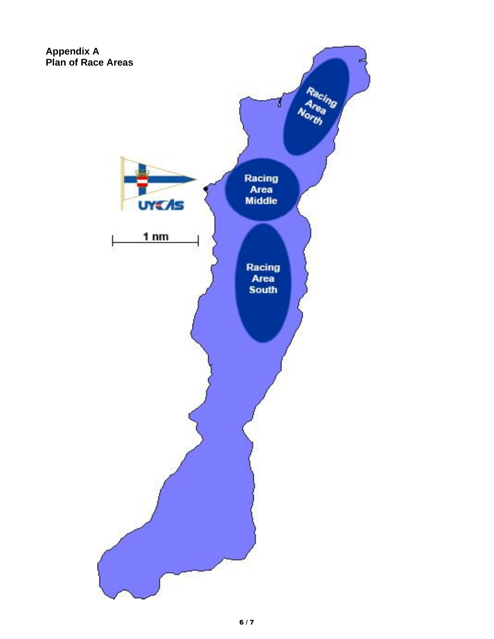